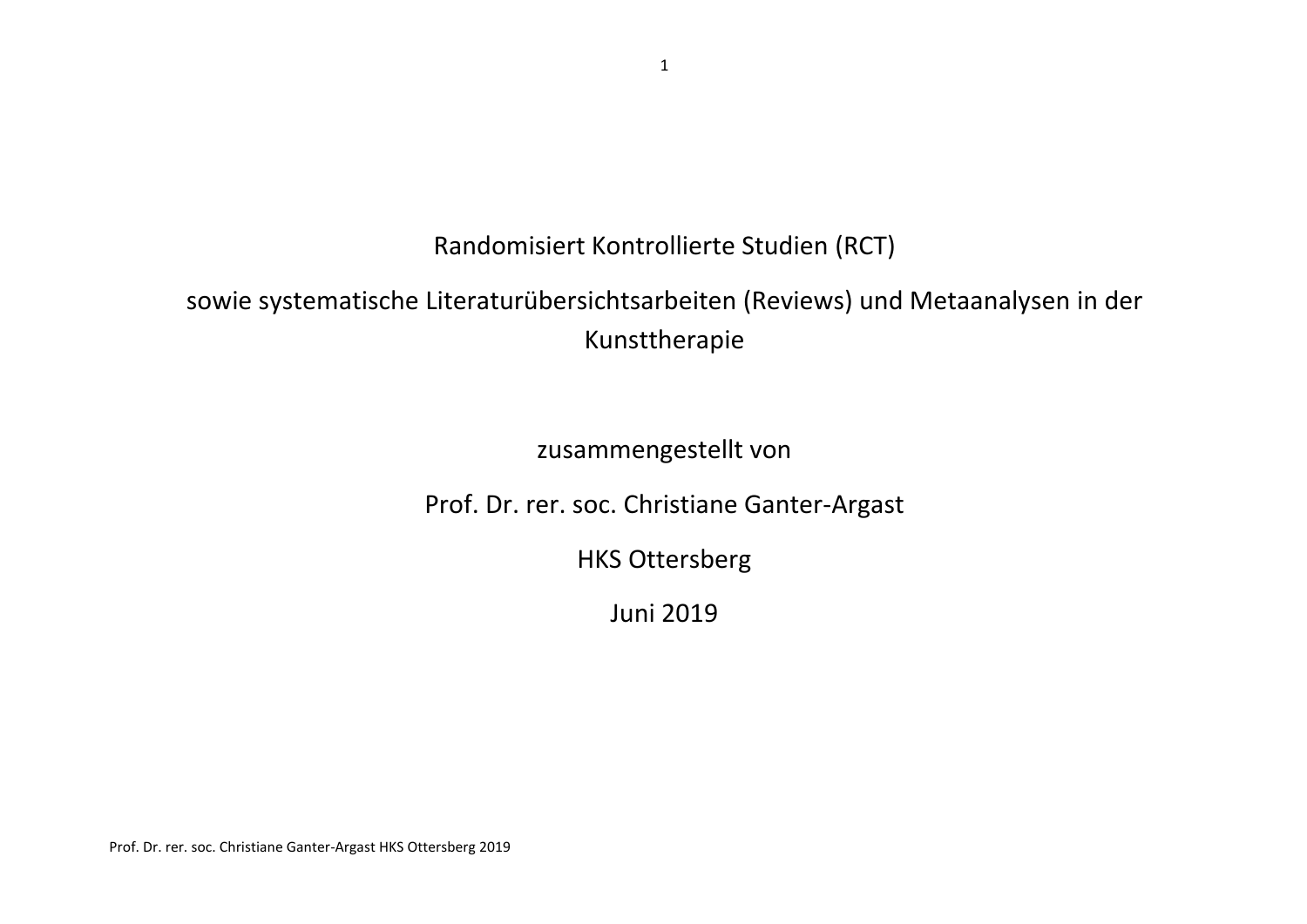Randomisiert Kontrollierte Studien (RCT)

## sowie systematische Literaturübersichtsarbeiten (Reviews) und Metaanalysen in der Kunsttherapie

zusammengestellt von

Prof. Dr. rer. soc. Christiane Ganter-Argast

HKS Ottersberg

Juni 2019

Prof. Dr. rer. soc. Christiane Ganter-Argast HKS Ottersberg 2019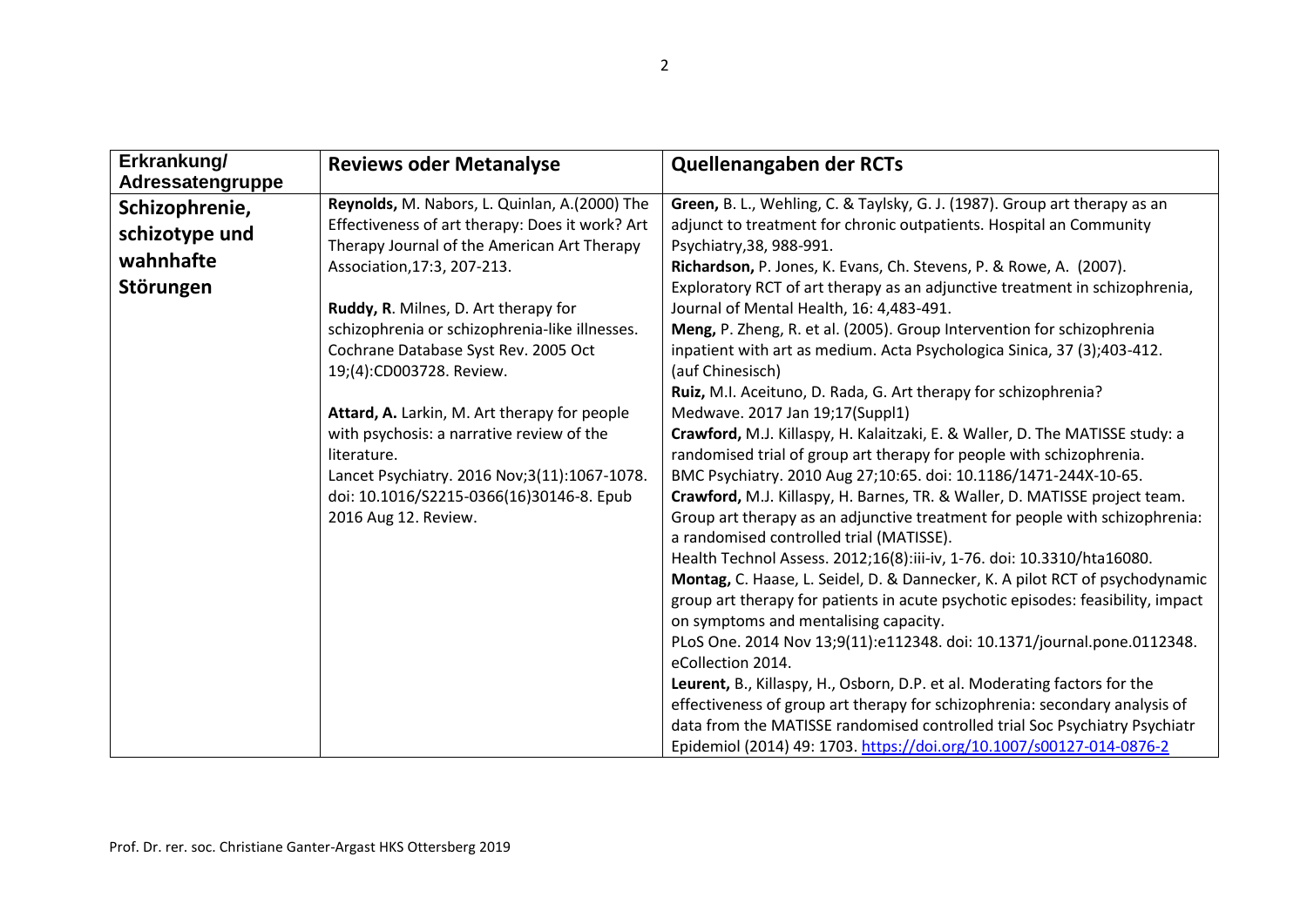| Erkrankung/<br>Adressatengruppe                            | <b>Reviews oder Metanalyse</b>                                                                                                                                                                                                                                                                                                                                                                                                                                                                                                                                               | Quellenangaben der RCTs                                                                                                                                                                                                                                                                                                                                                                                                                                                                                                                                                                                                                                                                                                                                                                                                                                                                                                                                                                                                                                                                                                                                                                                                                                                                                                                                                                                                                                                                                                                                               |
|------------------------------------------------------------|------------------------------------------------------------------------------------------------------------------------------------------------------------------------------------------------------------------------------------------------------------------------------------------------------------------------------------------------------------------------------------------------------------------------------------------------------------------------------------------------------------------------------------------------------------------------------|-----------------------------------------------------------------------------------------------------------------------------------------------------------------------------------------------------------------------------------------------------------------------------------------------------------------------------------------------------------------------------------------------------------------------------------------------------------------------------------------------------------------------------------------------------------------------------------------------------------------------------------------------------------------------------------------------------------------------------------------------------------------------------------------------------------------------------------------------------------------------------------------------------------------------------------------------------------------------------------------------------------------------------------------------------------------------------------------------------------------------------------------------------------------------------------------------------------------------------------------------------------------------------------------------------------------------------------------------------------------------------------------------------------------------------------------------------------------------------------------------------------------------------------------------------------------------|
| Schizophrenie,<br>schizotype und<br>wahnhafte<br>Störungen | Reynolds, M. Nabors, L. Quinlan, A.(2000) The<br>Effectiveness of art therapy: Does it work? Art<br>Therapy Journal of the American Art Therapy<br>Association, 17:3, 207-213.<br>Ruddy, R. Milnes, D. Art therapy for<br>schizophrenia or schizophrenia-like illnesses.<br>Cochrane Database Syst Rev. 2005 Oct<br>19;(4):CD003728. Review.<br>Attard, A. Larkin, M. Art therapy for people<br>with psychosis: a narrative review of the<br>literature.<br>Lancet Psychiatry. 2016 Nov;3(11):1067-1078.<br>doi: 10.1016/S2215-0366(16)30146-8. Epub<br>2016 Aug 12. Review. | Green, B. L., Wehling, C. & Taylsky, G. J. (1987). Group art therapy as an<br>adjunct to treatment for chronic outpatients. Hospital an Community<br>Psychiatry, 38, 988-991.<br>Richardson, P. Jones, K. Evans, Ch. Stevens, P. & Rowe, A. (2007).<br>Exploratory RCT of art therapy as an adjunctive treatment in schizophrenia,<br>Journal of Mental Health, 16: 4,483-491.<br>Meng, P. Zheng, R. et al. (2005). Group Intervention for schizophrenia<br>inpatient with art as medium. Acta Psychologica Sinica, 37 (3);403-412.<br>(auf Chinesisch)<br>Ruiz, M.I. Aceituno, D. Rada, G. Art therapy for schizophrenia?<br>Medwave. 2017 Jan 19;17(Suppl1)<br>Crawford, M.J. Killaspy, H. Kalaitzaki, E. & Waller, D. The MATISSE study: a<br>randomised trial of group art therapy for people with schizophrenia.<br>BMC Psychiatry. 2010 Aug 27;10:65. doi: 10.1186/1471-244X-10-65.<br>Crawford, M.J. Killaspy, H. Barnes, TR. & Waller, D. MATISSE project team.<br>Group art therapy as an adjunctive treatment for people with schizophrenia:<br>a randomised controlled trial (MATISSE).<br>Health Technol Assess. 2012;16(8):iii-iv, 1-76. doi: 10.3310/hta16080.<br>Montag, C. Haase, L. Seidel, D. & Dannecker, K. A pilot RCT of psychodynamic<br>group art therapy for patients in acute psychotic episodes: feasibility, impact<br>on symptoms and mentalising capacity.<br>PLoS One. 2014 Nov 13;9(11):e112348. doi: 10.1371/journal.pone.0112348.<br>eCollection 2014.<br>Leurent, B., Killaspy, H., Osborn, D.P. et al. Moderating factors for the |
|                                                            |                                                                                                                                                                                                                                                                                                                                                                                                                                                                                                                                                                              | effectiveness of group art therapy for schizophrenia: secondary analysis of<br>data from the MATISSE randomised controlled trial Soc Psychiatry Psychiatr<br>Epidemiol (2014) 49: 1703. https://doi.org/10.1007/s00127-014-0876-2                                                                                                                                                                                                                                                                                                                                                                                                                                                                                                                                                                                                                                                                                                                                                                                                                                                                                                                                                                                                                                                                                                                                                                                                                                                                                                                                     |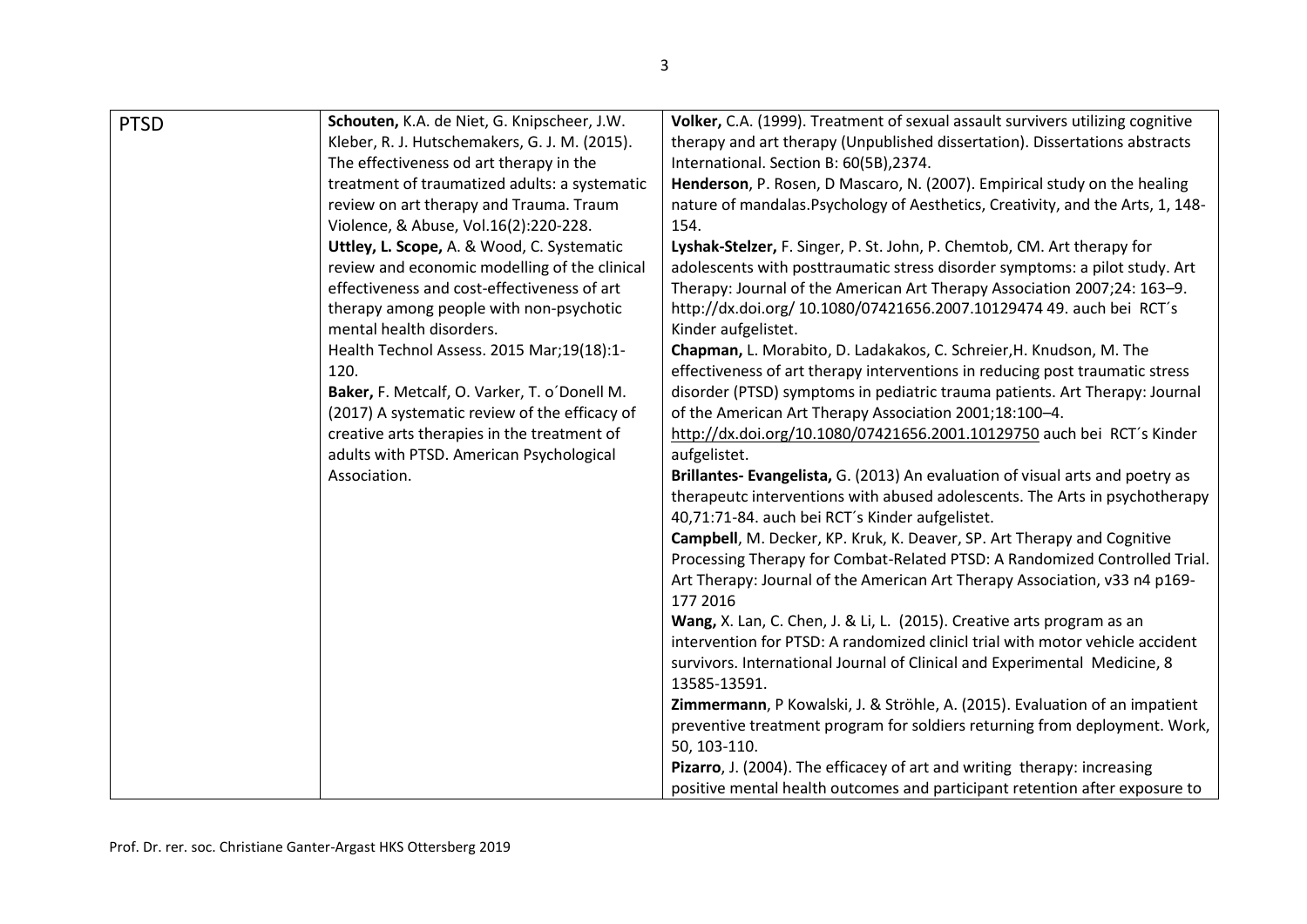| <b>PTSD</b> | Schouten, K.A. de Niet, G. Knipscheer, J.W.   | Volker, C.A. (1999). Treatment of sexual assault survivers utilizing cognitive  |
|-------------|-----------------------------------------------|---------------------------------------------------------------------------------|
|             | Kleber, R. J. Hutschemakers, G. J. M. (2015). | therapy and art therapy (Unpublished dissertation). Dissertations abstracts     |
|             | The effectiveness od art therapy in the       | International. Section B: 60(5B),2374.                                          |
|             | treatment of traumatized adults: a systematic | Henderson, P. Rosen, D Mascaro, N. (2007). Empirical study on the healing       |
|             | review on art therapy and Trauma. Traum       | nature of mandalas. Psychology of Aesthetics, Creativity, and the Arts, 1, 148- |
|             | Violence, & Abuse, Vol.16(2):220-228.         | 154.                                                                            |
|             | Uttley, L. Scope, A. & Wood, C. Systematic    | Lyshak-Stelzer, F. Singer, P. St. John, P. Chemtob, CM. Art therapy for         |
|             | review and economic modelling of the clinical | adolescents with posttraumatic stress disorder symptoms: a pilot study. Art     |
|             | effectiveness and cost-effectiveness of art   | Therapy: Journal of the American Art Therapy Association 2007;24: 163-9.        |
|             | therapy among people with non-psychotic       | http://dx.doi.org/ 10.1080/07421656.2007.10129474 49. auch bei RCT's            |
|             | mental health disorders.                      | Kinder aufgelistet.                                                             |
|             | Health Technol Assess. 2015 Mar;19(18):1-     | Chapman, L. Morabito, D. Ladakakos, C. Schreier, H. Knudson, M. The             |
|             | 120.                                          | effectiveness of art therapy interventions in reducing post traumatic stress    |
|             | Baker, F. Metcalf, O. Varker, T. o'Donell M.  | disorder (PTSD) symptoms in pediatric trauma patients. Art Therapy: Journal     |
|             | (2017) A systematic review of the efficacy of | of the American Art Therapy Association 2001;18:100-4.                          |
|             | creative arts therapies in the treatment of   | http://dx.doi.org/10.1080/07421656.2001.10129750 auch bei RCT's Kinder          |
|             | adults with PTSD. American Psychological      | aufgelistet.                                                                    |
|             | Association.                                  | Brillantes- Evangelista, G. (2013) An evaluation of visual arts and poetry as   |
|             |                                               | therapeutc interventions with abused adolescents. The Arts in psychotherapy     |
|             |                                               | 40,71:71-84. auch bei RCT's Kinder aufgelistet.                                 |
|             |                                               | Campbell, M. Decker, KP. Kruk, K. Deaver, SP. Art Therapy and Cognitive         |
|             |                                               | Processing Therapy for Combat-Related PTSD: A Randomized Controlled Trial.      |
|             |                                               | Art Therapy: Journal of the American Art Therapy Association, v33 n4 p169-      |
|             |                                               | 177 2016                                                                        |
|             |                                               | Wang, X. Lan, C. Chen, J. & Li, L. (2015). Creative arts program as an          |
|             |                                               | intervention for PTSD: A randomized clinicl trial with motor vehicle accident   |
|             |                                               | survivors. International Journal of Clinical and Experimental Medicine, 8       |
|             |                                               | 13585-13591.                                                                    |
|             |                                               | Zimmermann, P Kowalski, J. & Ströhle, A. (2015). Evaluation of an impatient     |
|             |                                               | preventive treatment program for soldiers returning from deployment. Work,      |
|             |                                               | 50, 103-110.                                                                    |
|             |                                               | Pizarro, J. (2004). The efficacey of art and writing therapy: increasing        |
|             |                                               | positive mental health outcomes and participant retention after exposure to     |
|             |                                               |                                                                                 |

3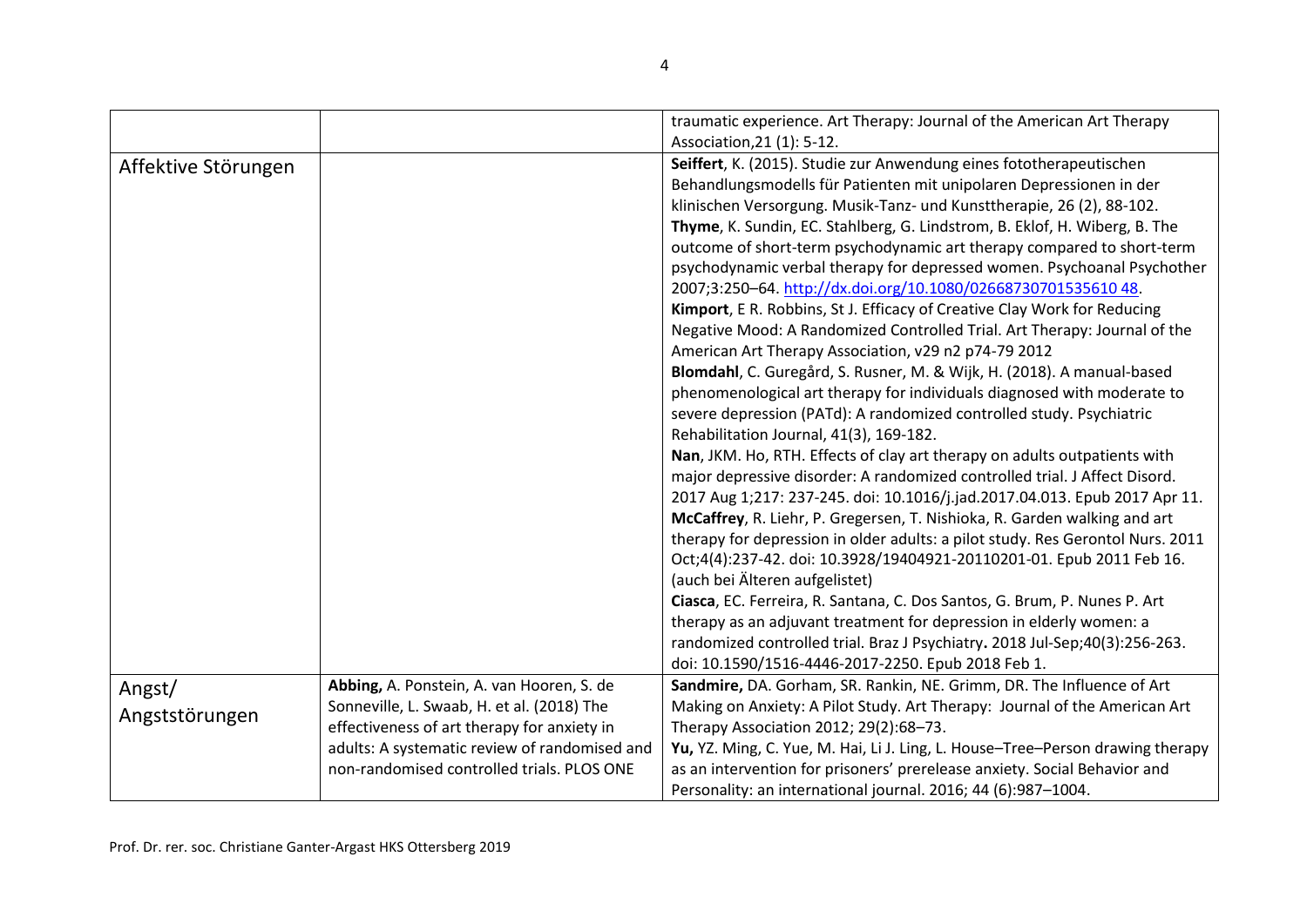|                          |                                                                                                                                                                                                                                       | traumatic experience. Art Therapy: Journal of the American Art Therapy                                                                                                                                                                                                                                                                                                                                                                                                                                                                                                                                                                                                                                                                                                                                                                                                                                                                                                                                                                                                                                                                                                                                                                                                                                                                                                                                                                                                                                                                                                                                                                                                                                                |
|--------------------------|---------------------------------------------------------------------------------------------------------------------------------------------------------------------------------------------------------------------------------------|-----------------------------------------------------------------------------------------------------------------------------------------------------------------------------------------------------------------------------------------------------------------------------------------------------------------------------------------------------------------------------------------------------------------------------------------------------------------------------------------------------------------------------------------------------------------------------------------------------------------------------------------------------------------------------------------------------------------------------------------------------------------------------------------------------------------------------------------------------------------------------------------------------------------------------------------------------------------------------------------------------------------------------------------------------------------------------------------------------------------------------------------------------------------------------------------------------------------------------------------------------------------------------------------------------------------------------------------------------------------------------------------------------------------------------------------------------------------------------------------------------------------------------------------------------------------------------------------------------------------------------------------------------------------------------------------------------------------------|
| Affektive Störungen      |                                                                                                                                                                                                                                       | Association, 21 (1): 5-12.<br>Seiffert, K. (2015). Studie zur Anwendung eines fototherapeutischen<br>Behandlungsmodells für Patienten mit unipolaren Depressionen in der<br>klinischen Versorgung. Musik-Tanz- und Kunsttherapie, 26 (2), 88-102.<br>Thyme, K. Sundin, EC. Stahlberg, G. Lindstrom, B. Eklof, H. Wiberg, B. The<br>outcome of short-term psychodynamic art therapy compared to short-term<br>psychodynamic verbal therapy for depressed women. Psychoanal Psychother<br>2007;3:250-64. http://dx.doi.org/10.1080/0266873070153561048.<br>Kimport, E R. Robbins, St J. Efficacy of Creative Clay Work for Reducing<br>Negative Mood: A Randomized Controlled Trial. Art Therapy: Journal of the<br>American Art Therapy Association, v29 n2 p74-79 2012<br>Blomdahl, C. Guregård, S. Rusner, M. & Wijk, H. (2018). A manual-based<br>phenomenological art therapy for individuals diagnosed with moderate to<br>severe depression (PATd): A randomized controlled study. Psychiatric<br>Rehabilitation Journal, 41(3), 169-182.<br>Nan, JKM. Ho, RTH. Effects of clay art therapy on adults outpatients with<br>major depressive disorder: A randomized controlled trial. J Affect Disord.<br>2017 Aug 1;217: 237-245. doi: 10.1016/j.jad.2017.04.013. Epub 2017 Apr 11.<br>McCaffrey, R. Liehr, P. Gregersen, T. Nishioka, R. Garden walking and art<br>therapy for depression in older adults: a pilot study. Res Gerontol Nurs. 2011<br>Oct;4(4):237-42. doi: 10.3928/19404921-20110201-01. Epub 2011 Feb 16.<br>(auch bei Älteren aufgelistet)<br>Ciasca, EC. Ferreira, R. Santana, C. Dos Santos, G. Brum, P. Nunes P. Art<br>therapy as an adjuvant treatment for depression in elderly women: a |
|                          |                                                                                                                                                                                                                                       | randomized controlled trial. Braz J Psychiatry. 2018 Jul-Sep;40(3):256-263.<br>doi: 10.1590/1516-4446-2017-2250. Epub 2018 Feb 1.                                                                                                                                                                                                                                                                                                                                                                                                                                                                                                                                                                                                                                                                                                                                                                                                                                                                                                                                                                                                                                                                                                                                                                                                                                                                                                                                                                                                                                                                                                                                                                                     |
| Angst/<br>Angststörungen | Abbing, A. Ponstein, A. van Hooren, S. de<br>Sonneville, L. Swaab, H. et al. (2018) The<br>effectiveness of art therapy for anxiety in<br>adults: A systematic review of randomised and<br>non-randomised controlled trials. PLOS ONE | Sandmire, DA. Gorham, SR. Rankin, NE. Grimm, DR. The Influence of Art<br>Making on Anxiety: A Pilot Study. Art Therapy: Journal of the American Art<br>Therapy Association 2012; 29(2):68-73.<br>Yu, YZ. Ming, C. Yue, M. Hai, Li J. Ling, L. House-Tree-Person drawing therapy<br>as an intervention for prisoners' prerelease anxiety. Social Behavior and<br>Personality: an international journal. 2016; 44 (6):987-1004.                                                                                                                                                                                                                                                                                                                                                                                                                                                                                                                                                                                                                                                                                                                                                                                                                                                                                                                                                                                                                                                                                                                                                                                                                                                                                         |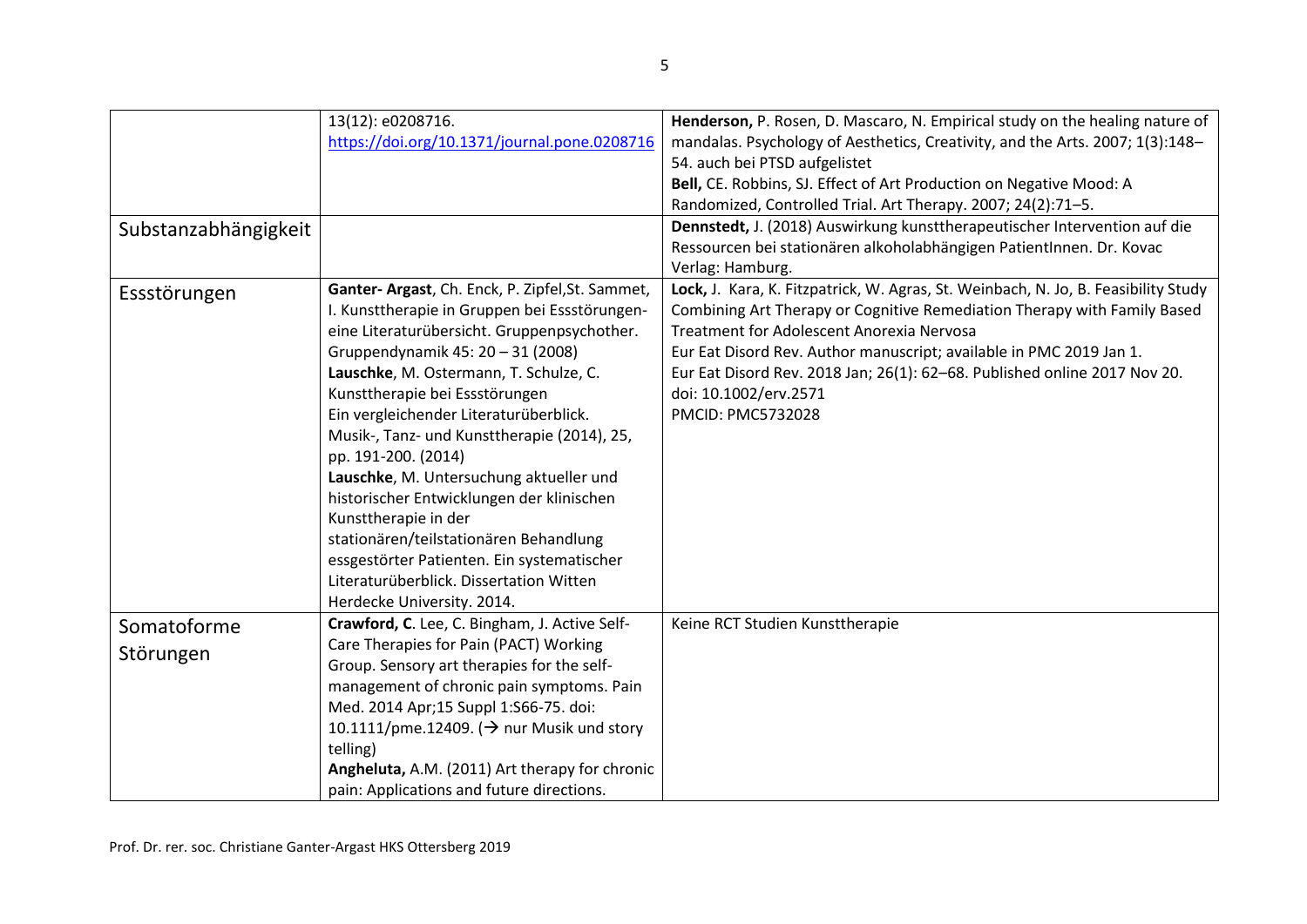|                      | 13(12): e0208716.                                      | Henderson, P. Rosen, D. Mascaro, N. Empirical study on the healing nature of       |
|----------------------|--------------------------------------------------------|------------------------------------------------------------------------------------|
|                      | https://doi.org/10.1371/journal.pone.0208716           | mandalas. Psychology of Aesthetics, Creativity, and the Arts. 2007; 1(3):148-      |
|                      |                                                        | 54. auch bei PTSD aufgelistet                                                      |
|                      |                                                        | Bell, CE. Robbins, SJ. Effect of Art Production on Negative Mood: A                |
|                      |                                                        | Randomized, Controlled Trial. Art Therapy. 2007; 24(2):71-5.                       |
| Substanzabhängigkeit |                                                        | Dennstedt, J. (2018) Auswirkung kunsttherapeutischer Intervention auf die          |
|                      |                                                        | Ressourcen bei stationären alkoholabhängigen PatientInnen. Dr. Kovac               |
|                      |                                                        | Verlag: Hamburg.                                                                   |
| Essstörungen         | Ganter- Argast, Ch. Enck, P. Zipfel, St. Sammet,       | Lock, J. Kara, K. Fitzpatrick, W. Agras, St. Weinbach, N. Jo, B. Feasibility Study |
|                      | I. Kunsttherapie in Gruppen bei Essstörungen-          | Combining Art Therapy or Cognitive Remediation Therapy with Family Based           |
|                      | eine Literaturübersicht. Gruppenpsychother.            | Treatment for Adolescent Anorexia Nervosa                                          |
|                      | Gruppendynamik 45: 20 - 31 (2008)                      | Eur Eat Disord Rev. Author manuscript; available in PMC 2019 Jan 1.                |
|                      | Lauschke, M. Ostermann, T. Schulze, C.                 | Eur Eat Disord Rev. 2018 Jan; 26(1): 62-68. Published online 2017 Nov 20.          |
|                      | Kunsttherapie bei Essstörungen                         | doi: 10.1002/erv.2571                                                              |
|                      | Ein vergleichender Literaturüberblick.                 | PMCID: PMC5732028                                                                  |
|                      | Musik-, Tanz- und Kunsttherapie (2014), 25,            |                                                                                    |
|                      | pp. 191-200. (2014)                                    |                                                                                    |
|                      | Lauschke, M. Untersuchung aktueller und                |                                                                                    |
|                      | historischer Entwicklungen der klinischen              |                                                                                    |
|                      | Kunsttherapie in der                                   |                                                                                    |
|                      | stationären/teilstationären Behandlung                 |                                                                                    |
|                      | essgestörter Patienten. Ein systematischer             |                                                                                    |
|                      | Literaturüberblick. Dissertation Witten                |                                                                                    |
|                      | Herdecke University. 2014.                             |                                                                                    |
| Somatoforme          | Crawford, C. Lee, C. Bingham, J. Active Self-          | Keine RCT Studien Kunsttherapie                                                    |
| Störungen            | Care Therapies for Pain (PACT) Working                 |                                                                                    |
|                      | Group. Sensory art therapies for the self-             |                                                                                    |
|                      | management of chronic pain symptoms. Pain              |                                                                                    |
|                      | Med. 2014 Apr;15 Suppl 1:S66-75. doi:                  |                                                                                    |
|                      | 10.1111/pme.12409. ( $\rightarrow$ nur Musik und story |                                                                                    |
|                      | telling)                                               |                                                                                    |
|                      | Angheluta, A.M. (2011) Art therapy for chronic         |                                                                                    |
|                      | pain: Applications and future directions.              |                                                                                    |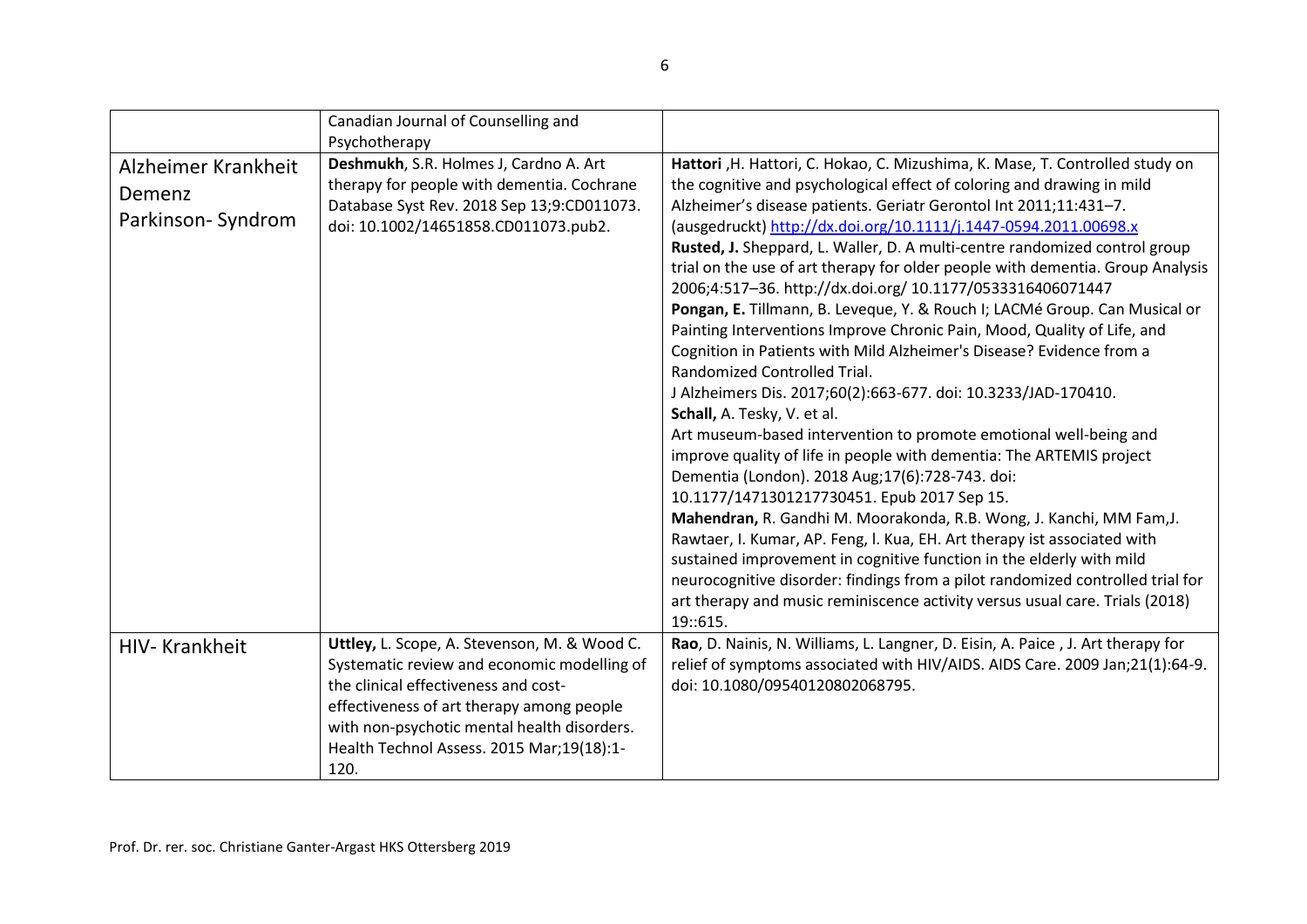|                                                    | Canadian Journal of Counselling and<br>Psychotherapy                                                                                                                                                                                                                                 |                                                                                                                                                                                                                                                                                                                                                                                                                                                                                                                                                                                                                                                                                                                                                                                                                                                                                                                                                                                                                                                                                                                                                                                                                                                                                                                                                                                                                                                                                                                                                             |
|----------------------------------------------------|--------------------------------------------------------------------------------------------------------------------------------------------------------------------------------------------------------------------------------------------------------------------------------------|-------------------------------------------------------------------------------------------------------------------------------------------------------------------------------------------------------------------------------------------------------------------------------------------------------------------------------------------------------------------------------------------------------------------------------------------------------------------------------------------------------------------------------------------------------------------------------------------------------------------------------------------------------------------------------------------------------------------------------------------------------------------------------------------------------------------------------------------------------------------------------------------------------------------------------------------------------------------------------------------------------------------------------------------------------------------------------------------------------------------------------------------------------------------------------------------------------------------------------------------------------------------------------------------------------------------------------------------------------------------------------------------------------------------------------------------------------------------------------------------------------------------------------------------------------------|
| Alzheimer Krankheit<br>Demenz<br>Parkinson-Syndrom | Deshmukh, S.R. Holmes J, Cardno A. Art<br>therapy for people with dementia. Cochrane<br>Database Syst Rev. 2018 Sep 13;9:CD011073.<br>doi: 10.1002/14651858.CD011073.pub2.                                                                                                           | Hattori , H. Hattori, C. Hokao, C. Mizushima, K. Mase, T. Controlled study on<br>the cognitive and psychological effect of coloring and drawing in mild<br>Alzheimer's disease patients. Geriatr Gerontol Int 2011;11:431-7.<br>(ausgedruckt) http://dx.doi.org/10.1111/j.1447-0594.2011.00698.x<br>Rusted, J. Sheppard, L. Waller, D. A multi-centre randomized control group<br>trial on the use of art therapy for older people with dementia. Group Analysis<br>2006;4:517-36. http://dx.doi.org/ 10.1177/0533316406071447<br>Pongan, E. Tillmann, B. Leveque, Y. & Rouch I; LACMé Group. Can Musical or<br>Painting Interventions Improve Chronic Pain, Mood, Quality of Life, and<br>Cognition in Patients with Mild Alzheimer's Disease? Evidence from a<br>Randomized Controlled Trial.<br>J Alzheimers Dis. 2017;60(2):663-677. doi: 10.3233/JAD-170410.<br>Schall, A. Tesky, V. et al.<br>Art museum-based intervention to promote emotional well-being and<br>improve quality of life in people with dementia: The ARTEMIS project<br>Dementia (London). 2018 Aug; 17(6): 728-743. doi:<br>10.1177/1471301217730451. Epub 2017 Sep 15.<br>Mahendran, R. Gandhi M. Moorakonda, R.B. Wong, J. Kanchi, MM Fam, J.<br>Rawtaer, I. Kumar, AP. Feng, I. Kua, EH. Art therapy ist associated with<br>sustained improvement in cognitive function in the elderly with mild<br>neurocognitive disorder: findings from a pilot randomized controlled trial for<br>art therapy and music reminiscence activity versus usual care. Trials (2018)<br>19::615. |
| HIV-Krankheit                                      | Uttley, L. Scope, A. Stevenson, M. & Wood C.<br>Systematic review and economic modelling of<br>the clinical effectiveness and cost-<br>effectiveness of art therapy among people<br>with non-psychotic mental health disorders.<br>Health Technol Assess. 2015 Mar;19(18):1-<br>120. | Rao, D. Nainis, N. Williams, L. Langner, D. Eisin, A. Paice, J. Art therapy for<br>relief of symptoms associated with HIV/AIDS. AIDS Care. 2009 Jan;21(1):64-9.<br>doi: 10.1080/09540120802068795.                                                                                                                                                                                                                                                                                                                                                                                                                                                                                                                                                                                                                                                                                                                                                                                                                                                                                                                                                                                                                                                                                                                                                                                                                                                                                                                                                          |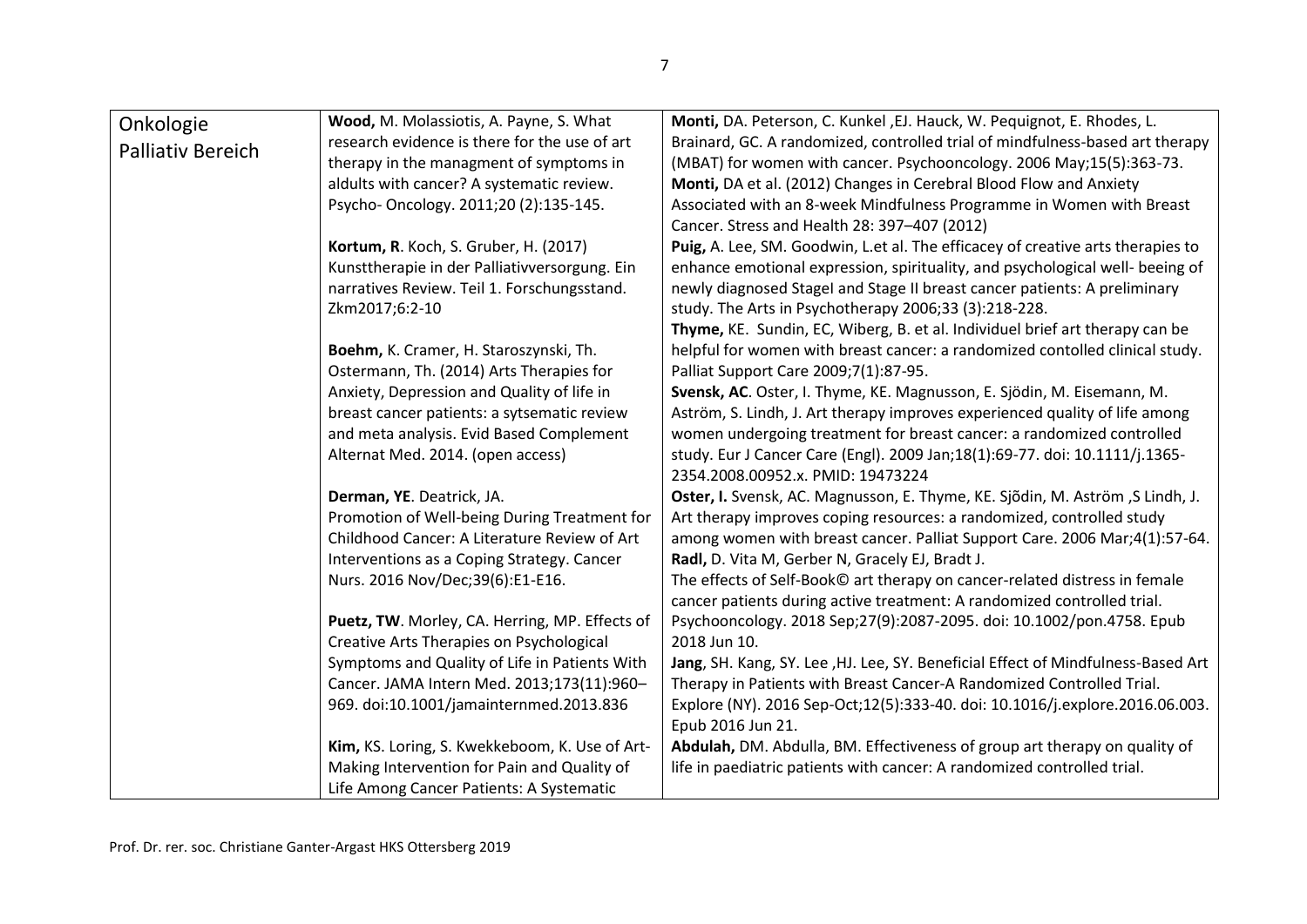| Onkologie                | Wood, M. Molassiotis, A. Payne, S. What        | Monti, DA. Peterson, C. Kunkel, EJ. Hauck, W. Pequignot, E. Rhodes, L.           |
|--------------------------|------------------------------------------------|----------------------------------------------------------------------------------|
|                          | research evidence is there for the use of art  | Brainard, GC. A randomized, controlled trial of mindfulness-based art therapy    |
| <b>Palliativ Bereich</b> | therapy in the managment of symptoms in        | (MBAT) for women with cancer. Psychooncology. 2006 May;15(5):363-73.             |
|                          | aldults with cancer? A systematic review.      | Monti, DA et al. (2012) Changes in Cerebral Blood Flow and Anxiety               |
|                          | Psycho-Oncology. 2011;20 (2):135-145.          | Associated with an 8-week Mindfulness Programme in Women with Breast             |
|                          |                                                | Cancer. Stress and Health 28: 397-407 (2012)                                     |
|                          | Kortum, R. Koch, S. Gruber, H. (2017)          | Puig, A. Lee, SM. Goodwin, L.et al. The efficacey of creative arts therapies to  |
|                          | Kunsttherapie in der Palliativversorgung. Ein  | enhance emotional expression, spirituality, and psychological well- beeing of    |
|                          | narratives Review. Teil 1. Forschungsstand.    | newly diagnosed Stagel and Stage II breast cancer patients: A preliminary        |
|                          | Zkm2017;6:2-10                                 | study. The Arts in Psychotherapy 2006;33 (3):218-228.                            |
|                          |                                                | Thyme, KE. Sundin, EC, Wiberg, B. et al. Individuel brief art therapy can be     |
|                          | Boehm, K. Cramer, H. Staroszynski, Th.         | helpful for women with breast cancer: a randomized contolled clinical study.     |
|                          | Ostermann, Th. (2014) Arts Therapies for       | Palliat Support Care 2009;7(1):87-95.                                            |
|                          | Anxiety, Depression and Quality of life in     | Svensk, AC. Oster, I. Thyme, KE. Magnusson, E. Sjödin, M. Eisemann, M.           |
|                          | breast cancer patients: a sytsematic review    | Aström, S. Lindh, J. Art therapy improves experienced quality of life among      |
|                          | and meta analysis. Evid Based Complement       | women undergoing treatment for breast cancer: a randomized controlled            |
|                          | Alternat Med. 2014. (open access)              | study. Eur J Cancer Care (Engl). 2009 Jan;18(1):69-77. doi: 10.1111/j.1365-      |
|                          |                                                | 2354.2008.00952.x. PMID: 19473224                                                |
|                          | Derman, YE. Deatrick, JA.                      | Oster, I. Svensk, AC. Magnusson, E. Thyme, KE. Sjödin, M. Aström, S Lindh, J.    |
|                          | Promotion of Well-being During Treatment for   | Art therapy improves coping resources: a randomized, controlled study            |
|                          | Childhood Cancer: A Literature Review of Art   | among women with breast cancer. Palliat Support Care. 2006 Mar;4(1):57-64.       |
|                          | Interventions as a Coping Strategy. Cancer     | Radl, D. Vita M, Gerber N, Gracely EJ, Bradt J.                                  |
|                          | Nurs. 2016 Nov/Dec;39(6):E1-E16.               | The effects of Self-Book© art therapy on cancer-related distress in female       |
|                          |                                                | cancer patients during active treatment: A randomized controlled trial.          |
|                          | Puetz, TW. Morley, CA. Herring, MP. Effects of | Psychooncology. 2018 Sep;27(9):2087-2095. doi: 10.1002/pon.4758. Epub            |
|                          | Creative Arts Therapies on Psychological       | 2018 Jun 10.                                                                     |
|                          | Symptoms and Quality of Life in Patients With  | Jang, SH. Kang, SY. Lee, HJ. Lee, SY. Beneficial Effect of Mindfulness-Based Art |
|                          | Cancer. JAMA Intern Med. 2013;173(11):960-     | Therapy in Patients with Breast Cancer-A Randomized Controlled Trial.            |
|                          | 969. doi:10.1001/jamainternmed.2013.836        | Explore (NY). 2016 Sep-Oct;12(5):333-40. doi: 10.1016/j.explore.2016.06.003.     |
|                          |                                                | Epub 2016 Jun 21.                                                                |
|                          | Kim, KS. Loring, S. Kwekkeboom, K. Use of Art- | Abdulah, DM. Abdulla, BM. Effectiveness of group art therapy on quality of       |
|                          | Making Intervention for Pain and Quality of    | life in paediatric patients with cancer: A randomized controlled trial.          |
|                          | Life Among Cancer Patients: A Systematic       |                                                                                  |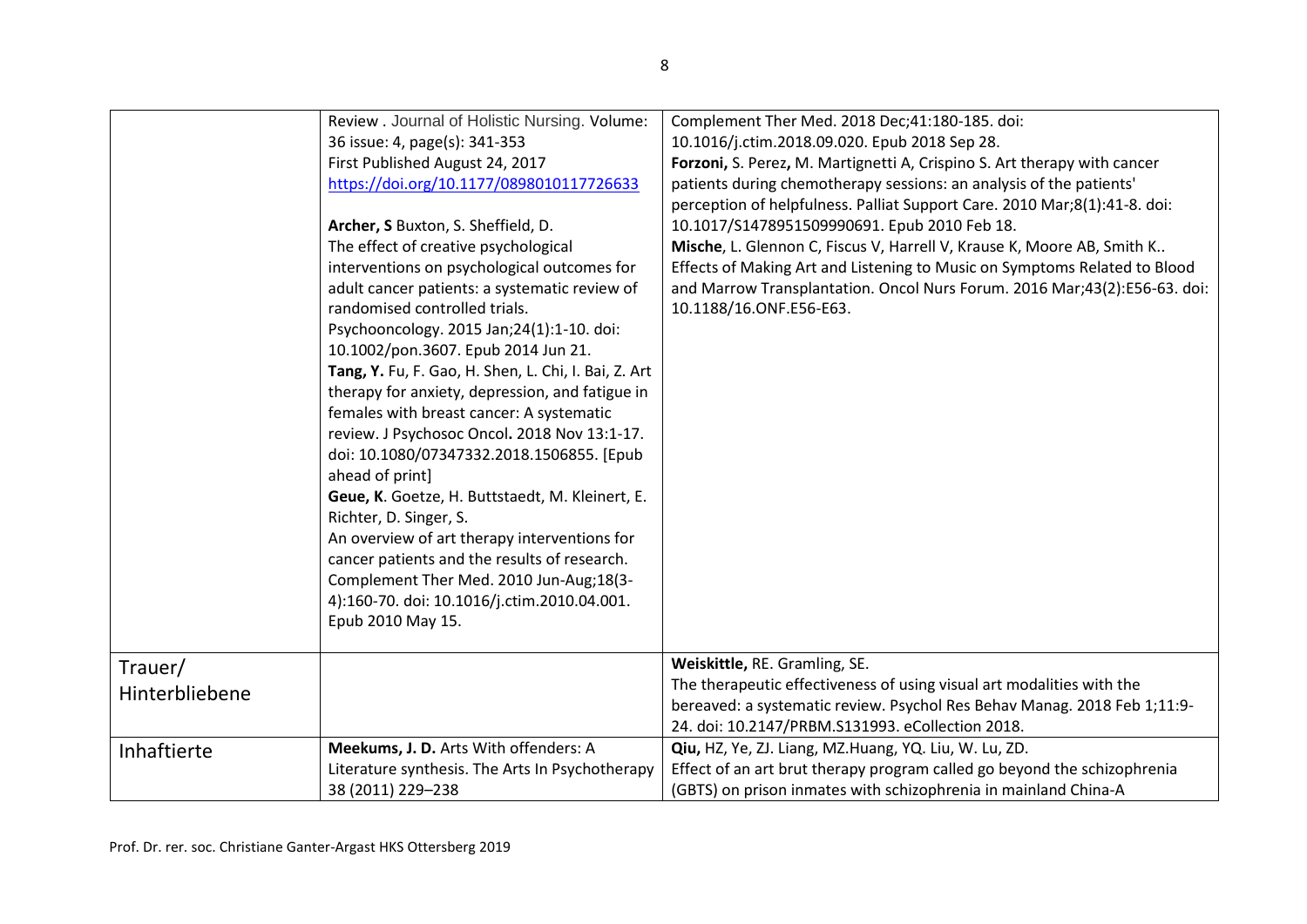|                           | Review . Journal of Holistic Nursing. Volume:<br>36 issue: 4, page(s): 341-353<br>First Published August 24, 2017<br>https://doi.org/10.1177/0898010117726633                                                                                                                                                                                                                                                                                                                                                                                                                                                                                                                                                                                                                                                                                                      | Complement Ther Med. 2018 Dec;41:180-185. doi:<br>10.1016/j.ctim.2018.09.020. Epub 2018 Sep 28.<br>Forzoni, S. Perez, M. Martignetti A, Crispino S. Art therapy with cancer<br>patients during chemotherapy sessions: an analysis of the patients'                                                                                                                                       |
|---------------------------|--------------------------------------------------------------------------------------------------------------------------------------------------------------------------------------------------------------------------------------------------------------------------------------------------------------------------------------------------------------------------------------------------------------------------------------------------------------------------------------------------------------------------------------------------------------------------------------------------------------------------------------------------------------------------------------------------------------------------------------------------------------------------------------------------------------------------------------------------------------------|------------------------------------------------------------------------------------------------------------------------------------------------------------------------------------------------------------------------------------------------------------------------------------------------------------------------------------------------------------------------------------------|
|                           | Archer, S Buxton, S. Sheffield, D.<br>The effect of creative psychological<br>interventions on psychological outcomes for<br>adult cancer patients: a systematic review of<br>randomised controlled trials.<br>Psychooncology. 2015 Jan;24(1):1-10. doi:<br>10.1002/pon.3607. Epub 2014 Jun 21.<br>Tang, Y. Fu, F. Gao, H. Shen, L. Chi, I. Bai, Z. Art<br>therapy for anxiety, depression, and fatigue in<br>females with breast cancer: A systematic<br>review. J Psychosoc Oncol. 2018 Nov 13:1-17.<br>doi: 10.1080/07347332.2018.1506855. [Epub<br>ahead of print]<br>Geue, K. Goetze, H. Buttstaedt, M. Kleinert, E.<br>Richter, D. Singer, S.<br>An overview of art therapy interventions for<br>cancer patients and the results of research.<br>Complement Ther Med. 2010 Jun-Aug;18(3-<br>4):160-70. doi: 10.1016/j.ctim.2010.04.001.<br>Epub 2010 May 15. | perception of helpfulness. Palliat Support Care. 2010 Mar;8(1):41-8. doi:<br>10.1017/S1478951509990691. Epub 2010 Feb 18.<br>Mische, L. Glennon C, Fiscus V, Harrell V, Krause K, Moore AB, Smith K<br>Effects of Making Art and Listening to Music on Symptoms Related to Blood<br>and Marrow Transplantation. Oncol Nurs Forum. 2016 Mar;43(2):E56-63. doi:<br>10.1188/16.ONF.E56-E63. |
| Trauer/<br>Hinterbliebene |                                                                                                                                                                                                                                                                                                                                                                                                                                                                                                                                                                                                                                                                                                                                                                                                                                                                    | Weiskittle, RE. Gramling, SE.<br>The therapeutic effectiveness of using visual art modalities with the<br>bereaved: a systematic review. Psychol Res Behav Manag. 2018 Feb 1;11:9-<br>24. doi: 10.2147/PRBM.S131993. eCollection 2018.                                                                                                                                                   |
| Inhaftierte               | Meekums, J. D. Arts With offenders: A<br>Literature synthesis. The Arts In Psychotherapy<br>38 (2011) 229-238                                                                                                                                                                                                                                                                                                                                                                                                                                                                                                                                                                                                                                                                                                                                                      | Qiu, HZ, Ye, ZJ. Liang, MZ.Huang, YQ. Liu, W. Lu, ZD.<br>Effect of an art brut therapy program called go beyond the schizophrenia<br>(GBTS) on prison inmates with schizophrenia in mainland China-A                                                                                                                                                                                     |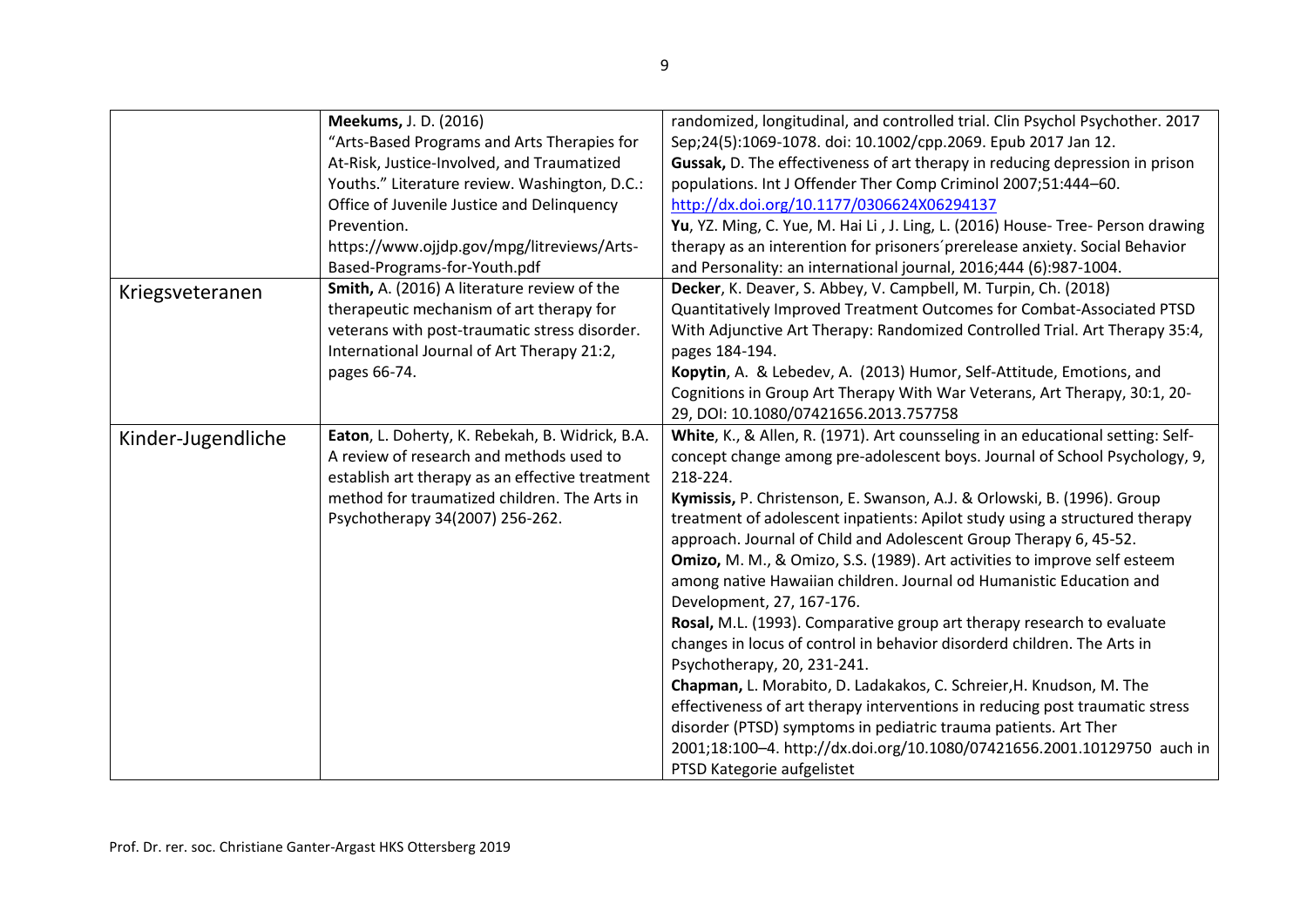|                    | <b>Meekums, J. D. (2016)</b>                    | randomized, longitudinal, and controlled trial. Clin Psychol Psychother. 2017   |
|--------------------|-------------------------------------------------|---------------------------------------------------------------------------------|
|                    | "Arts-Based Programs and Arts Therapies for     | Sep;24(5):1069-1078. doi: 10.1002/cpp.2069. Epub 2017 Jan 12.                   |
|                    | At-Risk, Justice-Involved, and Traumatized      | Gussak, D. The effectiveness of art therapy in reducing depression in prison    |
|                    | Youths." Literature review. Washington, D.C.:   | populations. Int J Offender Ther Comp Criminol 2007;51:444-60.                  |
|                    | Office of Juvenile Justice and Delinquency      | http://dx.doi.org/10.1177/0306624X06294137                                      |
|                    | Prevention.                                     | Yu, YZ. Ming, C. Yue, M. Hai Li, J. Ling, L. (2016) House- Tree- Person drawing |
|                    | https://www.ojjdp.gov/mpg/litreviews/Arts-      | therapy as an interention for prisoners' prerelease anxiety. Social Behavior    |
|                    | Based-Programs-for-Youth.pdf                    | and Personality: an international journal, 2016;444 (6):987-1004.               |
| Kriegsveteranen    | Smith, A. (2016) A literature review of the     | Decker, K. Deaver, S. Abbey, V. Campbell, M. Turpin, Ch. (2018)                 |
|                    | therapeutic mechanism of art therapy for        | Quantitatively Improved Treatment Outcomes for Combat-Associated PTSD           |
|                    | veterans with post-traumatic stress disorder.   | With Adjunctive Art Therapy: Randomized Controlled Trial. Art Therapy 35:4,     |
|                    | International Journal of Art Therapy 21:2,      | pages 184-194.                                                                  |
|                    | pages 66-74.                                    | Kopytin, A. & Lebedev, A. (2013) Humor, Self-Attitude, Emotions, and            |
|                    |                                                 | Cognitions in Group Art Therapy With War Veterans, Art Therapy, 30:1, 20-       |
|                    |                                                 | 29, DOI: 10.1080/07421656.2013.757758                                           |
| Kinder-Jugendliche | Eaton, L. Doherty, K. Rebekah, B. Widrick, B.A. | White, K., & Allen, R. (1971). Art counsseling in an educational setting: Self- |
|                    | A review of research and methods used to        | concept change among pre-adolescent boys. Journal of School Psychology, 9,      |
|                    | establish art therapy as an effective treatment | 218-224.                                                                        |
|                    | method for traumatized children. The Arts in    | Kymissis, P. Christenson, E. Swanson, A.J. & Orlowski, B. (1996). Group         |
|                    | Psychotherapy 34(2007) 256-262.                 | treatment of adolescent inpatients: Apilot study using a structured therapy     |
|                    |                                                 | approach. Journal of Child and Adolescent Group Therapy 6, 45-52.               |
|                    |                                                 | Omizo, M. M., & Omizo, S.S. (1989). Art activities to improve self esteem       |
|                    |                                                 | among native Hawaiian children. Journal od Humanistic Education and             |
|                    |                                                 | Development, 27, 167-176.                                                       |
|                    |                                                 | Rosal, M.L. (1993). Comparative group art therapy research to evaluate          |
|                    |                                                 | changes in locus of control in behavior disorderd children. The Arts in         |
|                    |                                                 | Psychotherapy, 20, 231-241.                                                     |
|                    |                                                 | Chapman, L. Morabito, D. Ladakakos, C. Schreier, H. Knudson, M. The             |
|                    |                                                 | effectiveness of art therapy interventions in reducing post traumatic stress    |
|                    |                                                 | disorder (PTSD) symptoms in pediatric trauma patients. Art Ther                 |
|                    |                                                 | 2001;18:100-4. http://dx.doi.org/10.1080/07421656.2001.10129750 auch in         |
|                    |                                                 | PTSD Kategorie aufgelistet                                                      |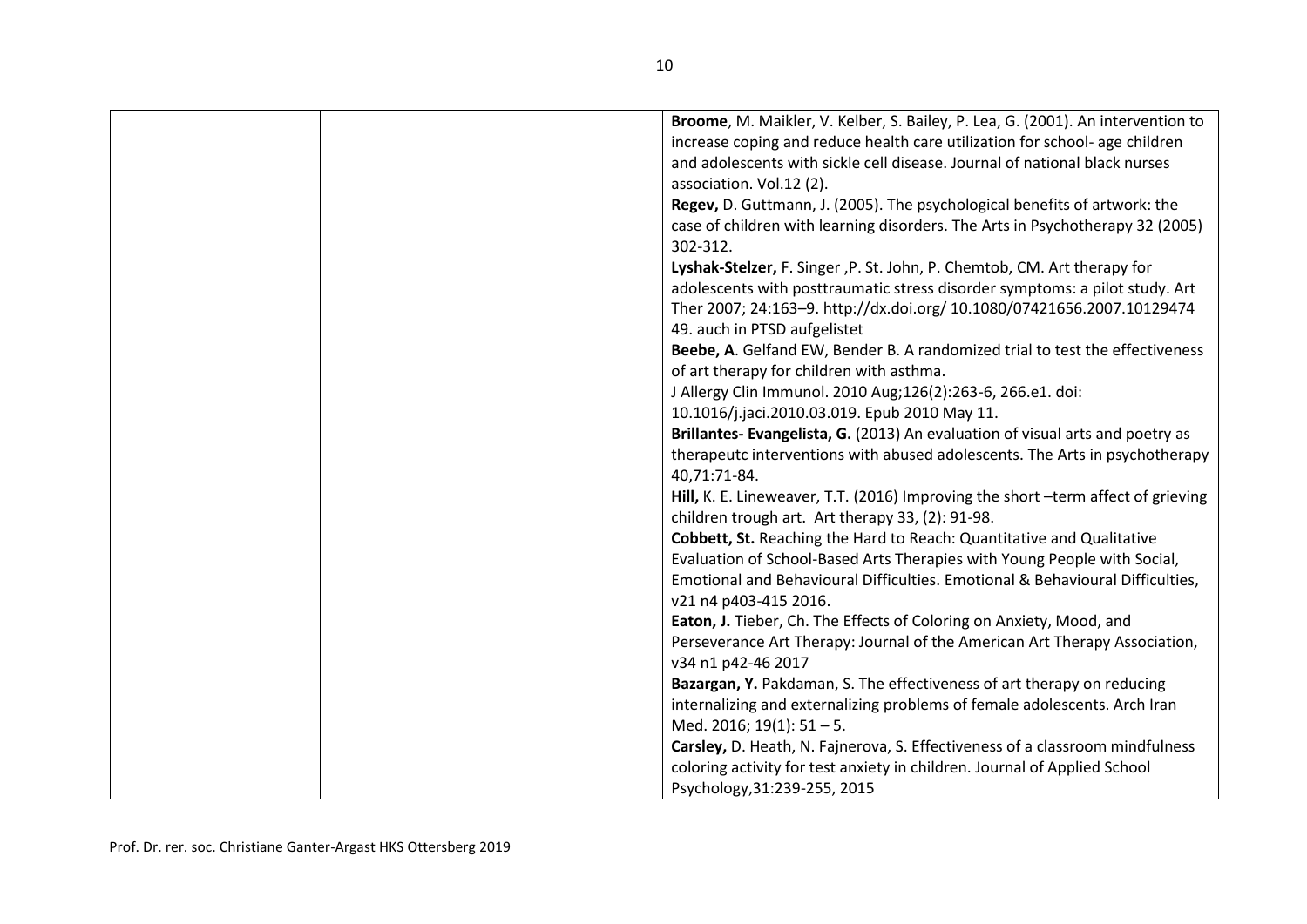| Broome, M. Maikler, V. Kelber, S. Bailey, P. Lea, G. (2001). An intervention to<br>increase coping and reduce health care utilization for school- age children<br>and adolescents with sickle cell disease. Journal of national black nurses |
|----------------------------------------------------------------------------------------------------------------------------------------------------------------------------------------------------------------------------------------------|
| association. Vol.12 (2).                                                                                                                                                                                                                     |
| Regev, D. Guttmann, J. (2005). The psychological benefits of artwork: the                                                                                                                                                                    |
| case of children with learning disorders. The Arts in Psychotherapy 32 (2005)<br>302-312.                                                                                                                                                    |
| Lyshak-Stelzer, F. Singer , P. St. John, P. Chemtob, CM. Art therapy for                                                                                                                                                                     |
| adolescents with posttraumatic stress disorder symptoms: a pilot study. Art                                                                                                                                                                  |
| Ther 2007; 24:163-9. http://dx.doi.org/ 10.1080/07421656.2007.10129474<br>49. auch in PTSD aufgelistet                                                                                                                                       |
| Beebe, A. Gelfand EW, Bender B. A randomized trial to test the effectiveness                                                                                                                                                                 |
| of art therapy for children with asthma.                                                                                                                                                                                                     |
| J Allergy Clin Immunol. 2010 Aug;126(2):263-6, 266.e1. doi:                                                                                                                                                                                  |
| 10.1016/j.jaci.2010.03.019. Epub 2010 May 11.                                                                                                                                                                                                |
| Brillantes- Evangelista, G. (2013) An evaluation of visual arts and poetry as                                                                                                                                                                |
| therapeutc interventions with abused adolescents. The Arts in psychotherapy                                                                                                                                                                  |
| 40,71:71-84.                                                                                                                                                                                                                                 |
| Hill, K. E. Lineweaver, T.T. (2016) Improving the short -term affect of grieving<br>children trough art. Art therapy 33, (2): 91-98.                                                                                                         |
| Cobbett, St. Reaching the Hard to Reach: Quantitative and Qualitative                                                                                                                                                                        |
| Evaluation of School-Based Arts Therapies with Young People with Social,                                                                                                                                                                     |
| Emotional and Behavioural Difficulties. Emotional & Behavioural Difficulties,                                                                                                                                                                |
| v21 n4 p403-415 2016.                                                                                                                                                                                                                        |
| Eaton, J. Tieber, Ch. The Effects of Coloring on Anxiety, Mood, and                                                                                                                                                                          |
| Perseverance Art Therapy: Journal of the American Art Therapy Association,<br>v34 n1 p42-46 2017                                                                                                                                             |
| Bazargan, Y. Pakdaman, S. The effectiveness of art therapy on reducing                                                                                                                                                                       |
| internalizing and externalizing problems of female adolescents. Arch Iran                                                                                                                                                                    |
| Med. 2016; 19(1): 51-5.                                                                                                                                                                                                                      |
| Carsley, D. Heath, N. Fajnerova, S. Effectiveness of a classroom mindfulness                                                                                                                                                                 |
| coloring activity for test anxiety in children. Journal of Applied School                                                                                                                                                                    |
| Psychology, 31:239-255, 2015                                                                                                                                                                                                                 |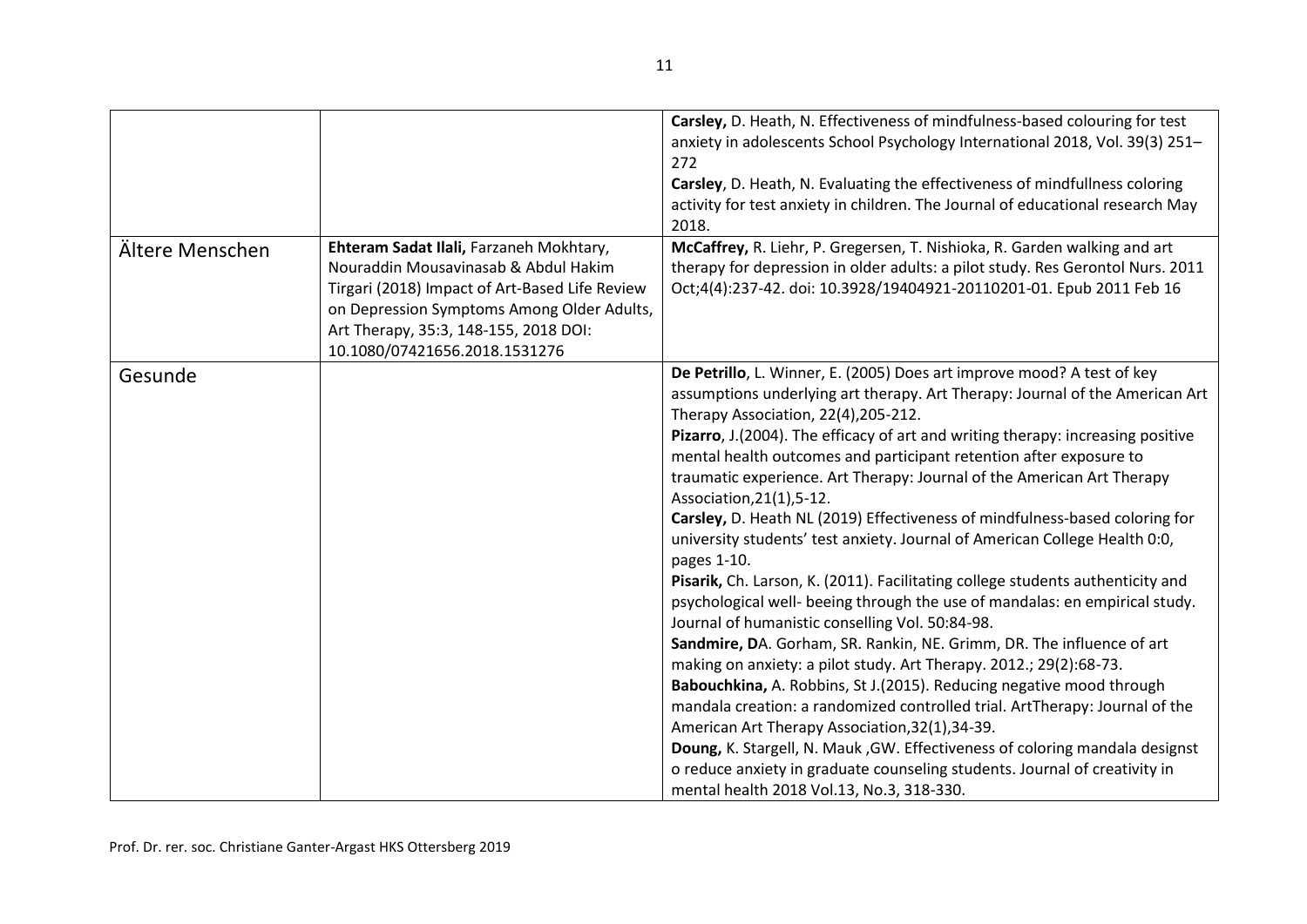|                 |                                                                                                                                                                                                                                                           | Carsley, D. Heath, N. Effectiveness of mindfulness-based colouring for test<br>anxiety in adolescents School Psychology International 2018, Vol. 39(3) 251-<br>272<br>Carsley, D. Heath, N. Evaluating the effectiveness of mindfullness coloring<br>activity for test anxiety in children. The Journal of educational research May<br>2018.                                                                                                                                                                                                                                                                                                                                                                                                                                                                                                                                                                                                                                                                                                                                                                                                                                                                                                                                                                                                                                                                                      |
|-----------------|-----------------------------------------------------------------------------------------------------------------------------------------------------------------------------------------------------------------------------------------------------------|-----------------------------------------------------------------------------------------------------------------------------------------------------------------------------------------------------------------------------------------------------------------------------------------------------------------------------------------------------------------------------------------------------------------------------------------------------------------------------------------------------------------------------------------------------------------------------------------------------------------------------------------------------------------------------------------------------------------------------------------------------------------------------------------------------------------------------------------------------------------------------------------------------------------------------------------------------------------------------------------------------------------------------------------------------------------------------------------------------------------------------------------------------------------------------------------------------------------------------------------------------------------------------------------------------------------------------------------------------------------------------------------------------------------------------------|
| Ältere Menschen | Ehteram Sadat Ilali, Farzaneh Mokhtary,<br>Nouraddin Mousavinasab & Abdul Hakim<br>Tirgari (2018) Impact of Art-Based Life Review<br>on Depression Symptoms Among Older Adults,<br>Art Therapy, 35:3, 148-155, 2018 DOI:<br>10.1080/07421656.2018.1531276 | McCaffrey, R. Liehr, P. Gregersen, T. Nishioka, R. Garden walking and art<br>therapy for depression in older adults: a pilot study. Res Gerontol Nurs. 2011<br>Oct;4(4):237-42. doi: 10.3928/19404921-20110201-01. Epub 2011 Feb 16                                                                                                                                                                                                                                                                                                                                                                                                                                                                                                                                                                                                                                                                                                                                                                                                                                                                                                                                                                                                                                                                                                                                                                                               |
| Gesunde         |                                                                                                                                                                                                                                                           | De Petrillo, L. Winner, E. (2005) Does art improve mood? A test of key<br>assumptions underlying art therapy. Art Therapy: Journal of the American Art<br>Therapy Association, 22(4), 205-212.<br>Pizarro, J.(2004). The efficacy of art and writing therapy: increasing positive<br>mental health outcomes and participant retention after exposure to<br>traumatic experience. Art Therapy: Journal of the American Art Therapy<br>Association, 21(1), 5-12.<br>Carsley, D. Heath NL (2019) Effectiveness of mindfulness-based coloring for<br>university students' test anxiety. Journal of American College Health 0:0,<br>pages 1-10.<br>Pisarik, Ch. Larson, K. (2011). Facilitating college students authenticity and<br>psychological well- beeing through the use of mandalas: en empirical study.<br>Journal of humanistic conselling Vol. 50:84-98.<br>Sandmire, DA. Gorham, SR. Rankin, NE. Grimm, DR. The influence of art<br>making on anxiety: a pilot study. Art Therapy. 2012.; 29(2):68-73.<br>Babouchkina, A. Robbins, St J.(2015). Reducing negative mood through<br>mandala creation: a randomized controlled trial. ArtTherapy: Journal of the<br>American Art Therapy Association, 32(1), 34-39.<br>Doung, K. Stargell, N. Mauk, GW. Effectiveness of coloring mandala designst<br>o reduce anxiety in graduate counseling students. Journal of creativity in<br>mental health 2018 Vol.13, No.3, 318-330. |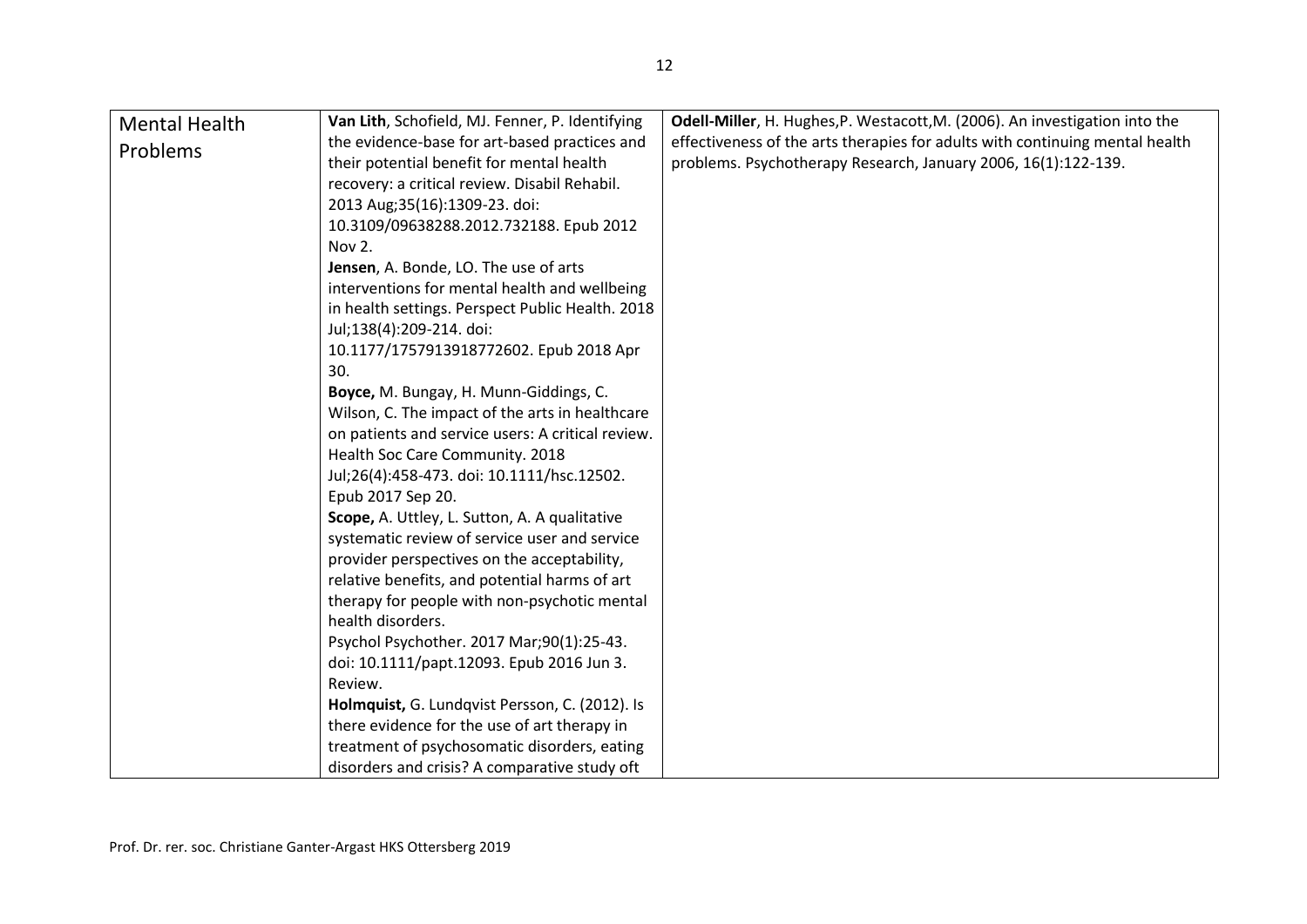| <b>Mental Health</b> | Van Lith, Schofield, MJ. Fenner, P. Identifying   | Odell-Miller, H. Hughes, P. Westacott, M. (2006). An investigation into the  |
|----------------------|---------------------------------------------------|------------------------------------------------------------------------------|
| Problems             | the evidence-base for art-based practices and     | effectiveness of the arts therapies for adults with continuing mental health |
|                      | their potential benefit for mental health         | problems. Psychotherapy Research, January 2006, 16(1):122-139.               |
|                      | recovery: a critical review. Disabil Rehabil.     |                                                                              |
|                      | 2013 Aug; 35(16): 1309-23. doi:                   |                                                                              |
|                      | 10.3109/09638288.2012.732188. Epub 2012           |                                                                              |
|                      | Nov 2.                                            |                                                                              |
|                      | Jensen, A. Bonde, LO. The use of arts             |                                                                              |
|                      | interventions for mental health and wellbeing     |                                                                              |
|                      | in health settings. Perspect Public Health. 2018  |                                                                              |
|                      | Jul;138(4):209-214. doi:                          |                                                                              |
|                      | 10.1177/1757913918772602. Epub 2018 Apr           |                                                                              |
|                      | 30.                                               |                                                                              |
|                      | Boyce, M. Bungay, H. Munn-Giddings, C.            |                                                                              |
|                      | Wilson, C. The impact of the arts in healthcare   |                                                                              |
|                      | on patients and service users: A critical review. |                                                                              |
|                      | Health Soc Care Community. 2018                   |                                                                              |
|                      | Jul;26(4):458-473. doi: 10.1111/hsc.12502.        |                                                                              |
|                      | Epub 2017 Sep 20.                                 |                                                                              |
|                      | Scope, A. Uttley, L. Sutton, A. A qualitative     |                                                                              |
|                      | systematic review of service user and service     |                                                                              |
|                      | provider perspectives on the acceptability,       |                                                                              |
|                      | relative benefits, and potential harms of art     |                                                                              |
|                      | therapy for people with non-psychotic mental      |                                                                              |
|                      | health disorders.                                 |                                                                              |
|                      | Psychol Psychother. 2017 Mar;90(1):25-43.         |                                                                              |
|                      | doi: 10.1111/papt.12093. Epub 2016 Jun 3.         |                                                                              |
|                      | Review.                                           |                                                                              |
|                      | Holmquist, G. Lundqvist Persson, C. (2012). Is    |                                                                              |
|                      | there evidence for the use of art therapy in      |                                                                              |
|                      | treatment of psychosomatic disorders, eating      |                                                                              |
|                      | disorders and crisis? A comparative study oft     |                                                                              |